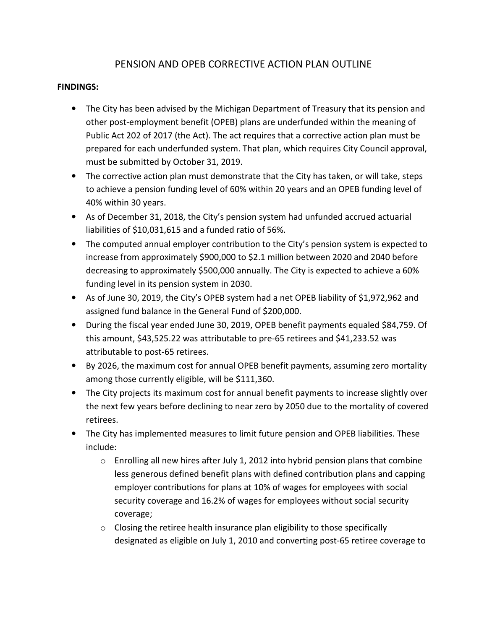## PENSION AND OPEB CORRECTIVE ACTION PLAN OUTLINE

## FINDINGS:

- The City has been advised by the Michigan Department of Treasury that its pension and other post-employment benefit (OPEB) plans are underfunded within the meaning of Public Act 202 of 2017 (the Act). The act requires that a corrective action plan must be prepared for each underfunded system. That plan, which requires City Council approval, must be submitted by October 31, 2019.
- The corrective action plan must demonstrate that the City has taken, or will take, steps to achieve a pension funding level of 60% within 20 years and an OPEB funding level of 40% within 30 years.
- As of December 31, 2018, the City's pension system had unfunded accrued actuarial liabilities of \$10,031,615 and a funded ratio of 56%.
- The computed annual employer contribution to the City's pension system is expected to increase from approximately \$900,000 to \$2.1 million between 2020 and 2040 before decreasing to approximately \$500,000 annually. The City is expected to achieve a 60% funding level in its pension system in 2030.
- As of June 30, 2019, the City's OPEB system had a net OPEB liability of \$1,972,962 and assigned fund balance in the General Fund of \$200,000.
- During the fiscal year ended June 30, 2019, OPEB benefit payments equaled \$84,759. Of this amount, \$43,525.22 was attributable to pre-65 retirees and \$41,233.52 was attributable to post-65 retirees.
- By 2026, the maximum cost for annual OPEB benefit payments, assuming zero mortality among those currently eligible, will be \$111,360.
- The City projects its maximum cost for annual benefit payments to increase slightly over the next few years before declining to near zero by 2050 due to the mortality of covered retirees.
- The City has implemented measures to limit future pension and OPEB liabilities. These include:
	- o Enrolling all new hires after July 1, 2012 into hybrid pension plans that combine less generous defined benefit plans with defined contribution plans and capping employer contributions for plans at 10% of wages for employees with social security coverage and 16.2% of wages for employees without social security coverage;
	- $\circ$  Closing the retiree health insurance plan eligibility to those specifically designated as eligible on July 1, 2010 and converting post-65 retiree coverage to